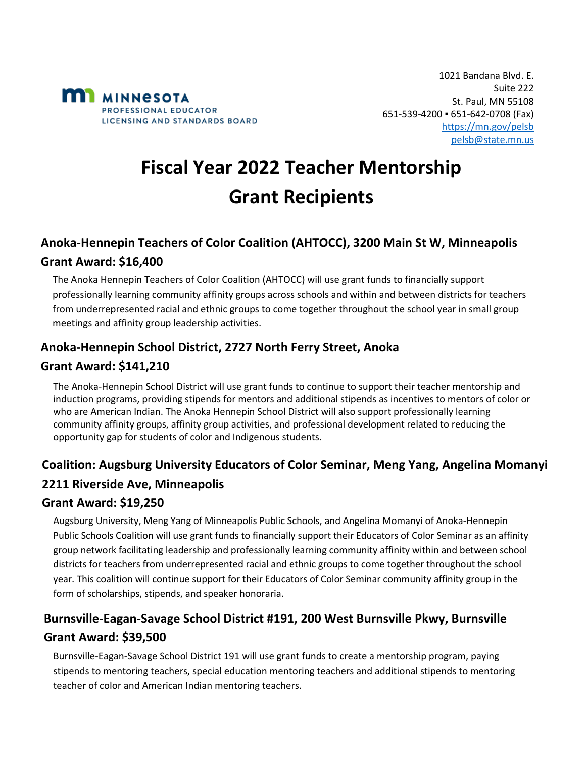

# **Fiscal Year 2022 Teacher Mentorship Grant Recipients**

# **Anoka-Hennepin Teachers of Color Coalition (AHTOCC), 3200 Main St W, Minneapolis Grant Award: \$16,400**

The Anoka Hennepin Teachers of Color Coalition (AHTOCC) will use grant funds to financially support professionally learning community affinity groups across schools and within and between districts for teachers from underrepresented racial and ethnic groups to come together throughout the school year in small group meetings and affinity group leadership activities.

### **Anoka-Hennepin School District, 2727 North Ferry Street, Anoka**

#### **Grant Award: \$141,210**

The Anoka-Hennepin School District will use grant funds to continue to support their teacher mentorship and induction programs, providing stipends for mentors and additional stipends as incentives to mentors of color or who are American Indian. The Anoka Hennepin School District will also support professionally learning community affinity groups, affinity group activities, and professional development related to reducing the opportunity gap for students of color and Indigenous students.

# **Coalition: Augsburg University Educators of Color Seminar, Meng Yang, Angelina Momanyi 2211 Riverside Ave, Minneapolis**

#### **Grant Award: \$19,250**

Augsburg University, Meng Yang of Minneapolis Public Schools, and Angelina Momanyi of Anoka-Hennepin Public Schools Coalition will use grant funds to financially support their Educators of Color Seminar as an affinity group network facilitating leadership and professionally learning community affinity within and between school districts for teachers from underrepresented racial and ethnic groups to come together throughout the school year. This coalition will continue support for their Educators of Color Seminar community affinity group in the form of scholarships, stipends, and speaker honoraria.

## **Burnsville-Eagan-Savage School District #191, 200 West Burnsville Pkwy, Burnsville Grant Award: \$39,500**

Burnsville-Eagan-Savage School District 191 will use grant funds to create a mentorship program, paying stipends to mentoring teachers, special education mentoring teachers and additional stipends to mentoring teacher of color and American Indian mentoring teachers.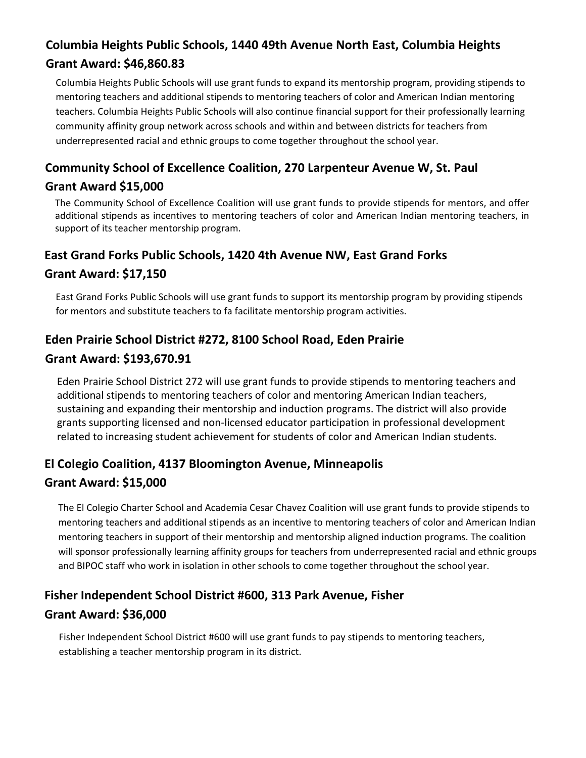# **Columbia Heights Public Schools, 1440 49th Avenue North East, Columbia Heights Grant Award: \$46,860.83**

Columbia Heights Public Schools will use grant funds to expand its mentorship program, providing stipends to mentoring teachers and additional stipends to mentoring teachers of color and American Indian mentoring teachers. Columbia Heights Public Schools will also continue financial support for their professionally learning community affinity group network across schools and within and between districts for teachers from underrepresented racial and ethnic groups to come together throughout the school year.

## **Community School of Excellence Coalition, 270 Larpenteur Avenue W, St. Paul**

#### **Grant Award \$15,000**

The Community School of Excellence Coalition will use grant funds to provide stipends for mentors, and offer additional stipends as incentives to mentoring teachers of color and American Indian mentoring teachers, in support of its teacher mentorship program.

## **East Grand Forks Public Schools, 1420 4th Avenue NW, East Grand Forks Grant Award: \$17,150**

East Grand Forks Public Schools will use grant funds to support its mentorship program by providing stipends for mentors and substitute teachers to fa facilitate mentorship program activities.

### **Eden Prairie School District #272, 8100 School Road, Eden Prairie**

#### **Grant Award: \$193,670.91**

Eden Prairie School District 272 will use grant funds to provide stipends to mentoring teachers and additional stipends to mentoring teachers of color and mentoring American Indian teachers, sustaining and expanding their mentorship and induction programs. The district will also provide grants supporting licensed and non-licensed educator participation in professional development related to increasing student achievement for students of color and American Indian students.

## **El Colegio Coalition, 4137 Bloomington Avenue, Minneapolis Grant Award: \$15,000**

The El Colegio Charter School and Academia Cesar Chavez Coalition will use grant funds to provide stipends to mentoring teachers and additional stipends as an incentive to mentoring teachers of color and American Indian mentoring teachers in support of their mentorship and mentorship aligned induction programs. The coalition will sponsor professionally learning affinity groups for teachers from underrepresented racial and ethnic groups and BIPOC staff who work in isolation in other schools to come together throughout the school year.

# **Fisher Independent School District #600, 313 Park Avenue, Fisher Grant Award: \$36,000**

Fisher Independent School District #600 will use grant funds to pay stipends to mentoring teachers, establishing a teacher mentorship program in its district.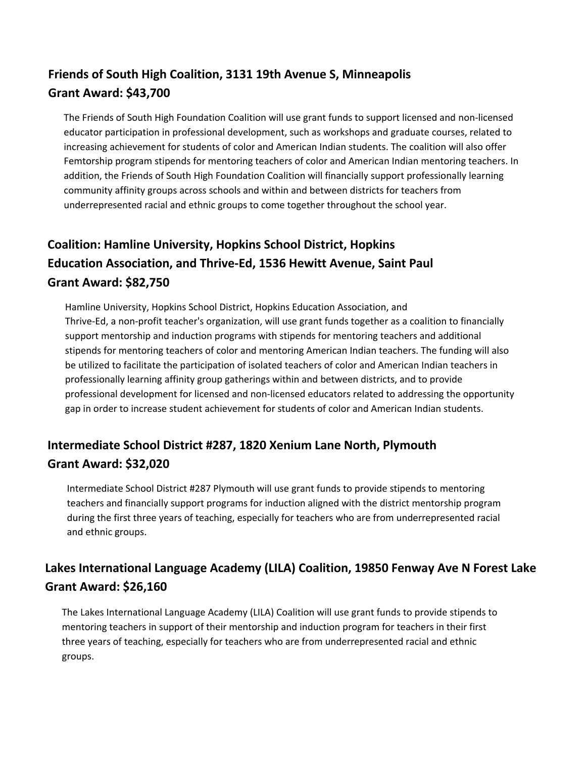# **Friends of South High Coalition, 3131 19th Avenue S, Minneapolis Grant Award: \$43,700**

The Friends of South High Foundation Coalition will use grant funds to support licensed and non-licensed educator participation in professional development, such as workshops and graduate courses, related to increasing achievement for students of color and American Indian students. The coalition will also offer Femtorship program stipends for mentoring teachers of color and American Indian mentoring teachers. In addition, the Friends of South High Foundation Coalition will financially support professionally learning community affinity groups across schools and within and between districts for teachers from underrepresented racial and ethnic groups to come together throughout the school year.

# **Coalition: Hamline University, Hopkins School District, Hopkins Education Association, and Thrive-Ed, 1536 Hewitt Avenue, Saint Paul Grant Award: \$82,750**

Hamline University, Hopkins School District, Hopkins Education Association, and Thrive-Ed, a non-profit teacher's organization, will use grant funds together as a coalition to financially support mentorship and induction programs with stipends for mentoring teachers and additional stipends for mentoring teachers of color and mentoring American Indian teachers. The funding will also be utilized to facilitate the participation of isolated teachers of color and American Indian teachers in professionally learning affinity group gatherings within and between districts, and to provide professional development for licensed and non-licensed educators related to addressing the opportunity gap in order to increase student achievement for students of color and American Indian students.

## **Intermediate School District #287, 1820 Xenium Lane North, Plymouth Grant Award: \$32,020**

Intermediate School District #287 Plymouth will use grant funds to provide stipends to mentoring teachers and financially support programs for induction aligned with the district mentorship program during the first three years of teaching, especially for teachers who are from underrepresented racial and ethnic groups.

# **Lakes International Language Academy (LILA) Coalition, 19850 Fenway Ave N Forest Lake Grant Award: \$26,160**

The Lakes International Language Academy (LILA) Coalition will use grant funds to provide stipends to mentoring teachers in support of their mentorship and induction program for teachers in their first three years of teaching, especially for teachers who are from underrepresented racial and ethnic groups.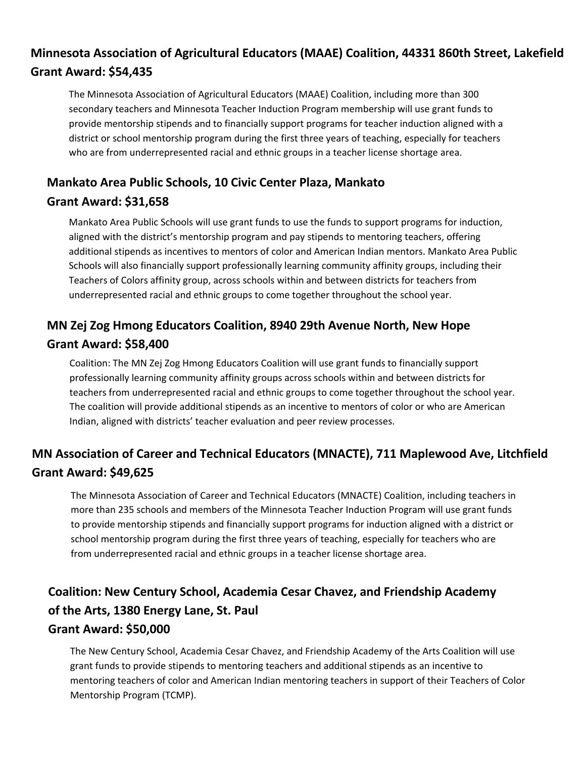# **Minnesota Association of Agricultural Educators (MAAE) Coalition, 44331 860th Street, Lakefield Grant Award: \$54,435**

The Minnesota Association of Agricultural Educators (MAAE) Coalition, including more than 300 secondary teachers and Minnesota Teacher Induction Program membership will use grant funds to provide mentorship stipends and to financially support programs for teacher induction aligned with a district or school mentorship program during the first three years of teaching, especially for teachers who are from underrepresented racial and ethnic groups in a teacher license shortage area.

## **Mankato Area Public Schools, 10 Civic Center Plaza, Mankato**

### **Grant Award: \$31,658**

Mankato Area Public Schools will use grant funds to use the funds to support programs for induction, aligned with the district's mentorship program and pay stipends to mentoring teachers, offering additional stipends as incentives to mentors of color and American Indian mentors. Mankato Area Public Schools will also financially support professionally learning community affinity groups, including their Teachers of Colors affinity group, across schools within and between districts for teachers from underrepresented racial and ethnic groups to come together throughout the school year.

# **MN Zej Zog Hmong Educators Coalition, 8940 29th Avenue North, New Hope Grant Award: \$58,400**

Coalition: The MN Zej Zog Hmong Educators Coalition will use grant funds to financially support professionally learning community affinity groups across schools within and between districts for teachers from underrepresented racial and ethnic groups to come together throughout the school year. The coalition will provide additional stipends as an incentive to mentors of color or who are American Indian, aligned with districts' teacher evaluation and peer review processes.

# **MN Association of Career and Technical Educators (MNACTE), 711 Maplewood Ave, Litchfield Grant Award: \$49,625**

The Minnesota Association of Career and Technical Educators (MNACTE) Coalition, including teachers in more than 235 schools and members of the Minnesota Teacher Induction Program will use grant funds to provide mentorship stipends and financially support programs for induction aligned with a district or school mentorship program during the first three years of teaching, especially for teachers who are from underrepresented racial and ethnic groups in a teacher license shortage area.

# **Coalition: New Century School, Academia Cesar Chavez, and Friendship Academy of the Arts, 1380 Energy Lane, St. Paul**

#### **Grant Award: \$50,000**

The New Century School, Academia Cesar Chavez, and Friendship Academy of the Arts Coalition will use grant funds to provide stipends to mentoring teachers and additional stipends as an incentive to mentoring teachers of color and American Indian mentoring teachers in support of their Teachers of Color Mentorship Program (TCMP).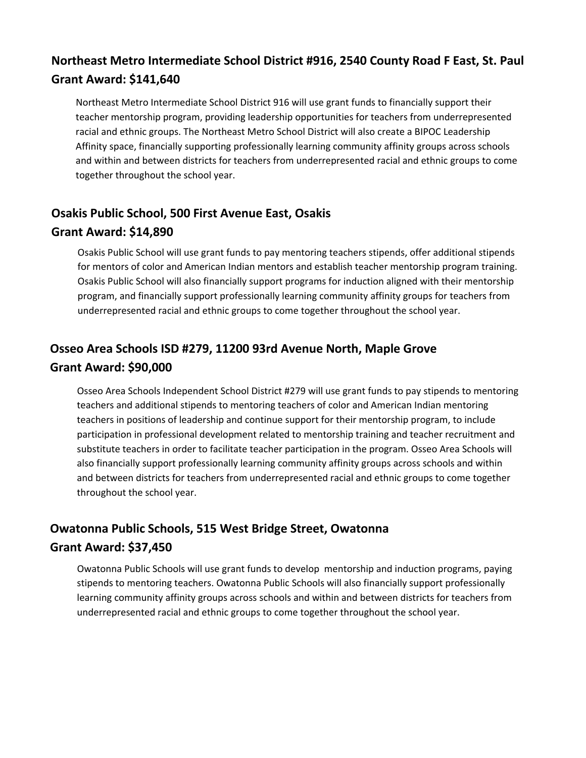## **Northeast Metro Intermediate School District #916, 2540 County Road F East, St. Paul Grant Award: \$141,640**

Northeast Metro Intermediate School District 916 will use grant funds to financially support their teacher mentorship program, providing leadership opportunities for teachers from underrepresented racial and ethnic groups. The Northeast Metro School District will also create a BIPOC Leadership Affinity space, financially supporting professionally learning community affinity groups across schools and within and between districts for teachers from underrepresented racial and ethnic groups to come together throughout the school year.

#### **Osakis Public School, 500 First Avenue East, Osakis**

#### **Grant Award: \$14,890**

Osakis Public School will use grant funds to pay mentoring teachers stipends, offer additional stipends for mentors of color and American Indian mentors and establish teacher mentorship program training. Osakis Public School will also financially support programs for induction aligned with their mentorship program, and financially support professionally learning community affinity groups for teachers from underrepresented racial and ethnic groups to come together throughout the school year.

## **Osseo Area Schools ISD #279, 11200 93rd Avenue North, Maple Grove Grant Award: \$90,000**

Osseo Area Schools Independent School District #279 will use grant funds to pay stipends to mentoring teachers and additional stipends to mentoring teachers of color and American Indian mentoring teachers in positions of leadership and continue support for their mentorship program, to include participation in professional development related to mentorship training and teacher recruitment and substitute teachers in order to facilitate teacher participation in the program. Osseo Area Schools will also financially support professionally learning community affinity groups across schools and within and between districts for teachers from underrepresented racial and ethnic groups to come together throughout the school year.

# **Owatonna Public Schools, 515 West Bridge Street, Owatonna Grant Award: \$37,450**

Owatonna Public Schools will use grant funds to develop mentorship and induction programs, paying stipends to mentoring teachers. Owatonna Public Schools will also financially support professionally learning community affinity groups across schools and within and between districts for teachers from underrepresented racial and ethnic groups to come together throughout the school year.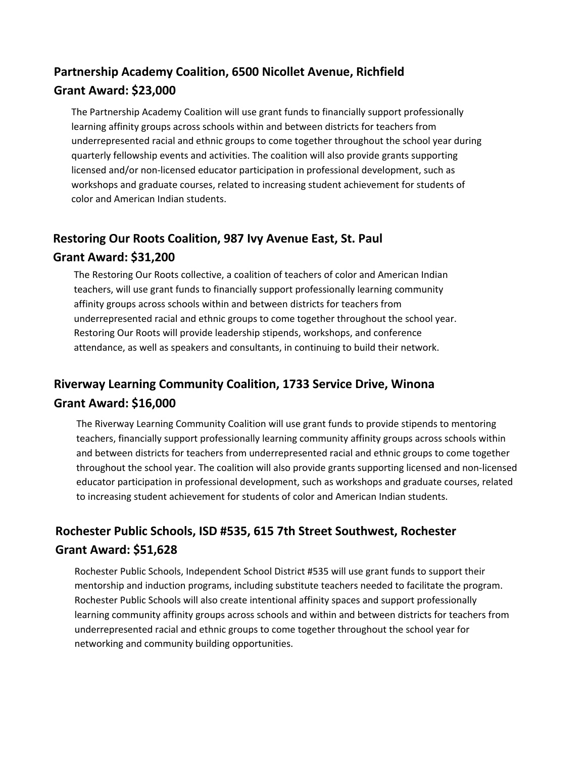# **Partnership Academy Coalition, 6500 Nicollet Avenue, Richfield Grant Award: \$23,000**

The Partnership Academy Coalition will use grant funds to financially support professionally learning affinity groups across schools within and between districts for teachers from underrepresented racial and ethnic groups to come together throughout the school year during quarterly fellowship events and activities. The coalition will also provide grants supporting licensed and/or non-licensed educator participation in professional development, such as workshops and graduate courses, related to increasing student achievement for students of color and American Indian students.

# **Restoring Our Roots Coalition, 987 Ivy Avenue East, St. Paul**

#### **Grant Award: \$31,200**

The Restoring Our Roots collective, a coalition of teachers of color and American Indian teachers, will use grant funds to financially support professionally learning community affinity groups across schools within and between districts for teachers from underrepresented racial and ethnic groups to come together throughout the school year. Restoring Our Roots will provide leadership stipends, workshops, and conference attendance, as well as speakers and consultants, in continuing to build their network.

# **Riverway Learning Community Coalition, 1733 Service Drive, Winona Grant Award: \$16,000**

The Riverway Learning Community Coalition will use grant funds to provide stipends to mentoring teachers, financially support professionally learning community affinity groups across schools within and between districts for teachers from underrepresented racial and ethnic groups to come together throughout the school year. The coalition will also provide grants supporting licensed and non-licensed educator participation in professional development, such as workshops and graduate courses, related to increasing student achievement for students of color and American Indian students.

# **Rochester Public Schools, ISD #535, 615 7th Street Southwest, Rochester Grant Award: \$51,628**

Rochester Public Schools, Independent School District #535 will use grant funds to support their mentorship and induction programs, including substitute teachers needed to facilitate the program. Rochester Public Schools will also create intentional affinity spaces and support professionally learning community affinity groups across schools and within and between districts for teachers from underrepresented racial and ethnic groups to come together throughout the school year for networking and community building opportunities.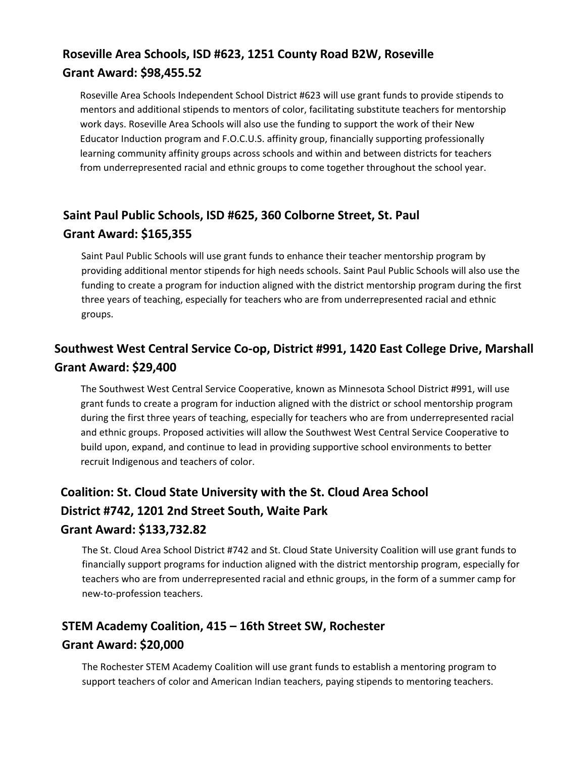## **Roseville Area Schools, ISD #623, 1251 County Road B2W, Roseville Grant Award: \$98,455.52**

Roseville Area Schools Independent School District #623 will use grant funds to provide stipends to mentors and additional stipends to mentors of color, facilitating substitute teachers for mentorship work days. Roseville Area Schools will also use the funding to support the work of their New Educator Induction program and F.O.C.U.S. affinity group, financially supporting professionally learning community affinity groups across schools and within and between districts for teachers from underrepresented racial and ethnic groups to come together throughout the school year.

# **Saint Paul Public Schools, ISD #625, 360 Colborne Street, St. Paul Grant Award: \$165,355**

Saint Paul Public Schools will use grant funds to enhance their teacher mentorship program by providing additional mentor stipends for high needs schools. Saint Paul Public Schools will also use the funding to create a program for induction aligned with the district mentorship program during the first three years of teaching, especially for teachers who are from underrepresented racial and ethnic groups.

# **Southwest West Central Service Co-op, District #991, 1420 East College Drive, Marshall Grant Award: \$29,400**

The Southwest West Central Service Cooperative, known as Minnesota School District #991, will use grant funds to create a program for induction aligned with the district or school mentorship program during the first three years of teaching, especially for teachers who are from underrepresented racial and ethnic groups. Proposed activities will allow the Southwest West Central Service Cooperative to build upon, expand, and continue to lead in providing supportive school environments to better recruit Indigenous and teachers of color.

### **Coalition: St. Cloud State University with the St. Cloud Area School**

#### **District #742, 1201 2nd Street South, Waite Park**

#### **Grant Award: \$133,732.82**

The St. Cloud Area School District #742 and St. Cloud State University Coalition will use grant funds to financially support programs for induction aligned with the district mentorship program, especially for teachers who are from underrepresented racial and ethnic groups, in the form of a summer camp for new-to-profession teachers.

# **STEM Academy Coalition, 415 – 16th Street SW, Rochester Grant Award: \$20,000**

The Rochester STEM Academy Coalition will use grant funds to establish a mentoring program to support teachers of color and American Indian teachers, paying stipends to mentoring teachers.